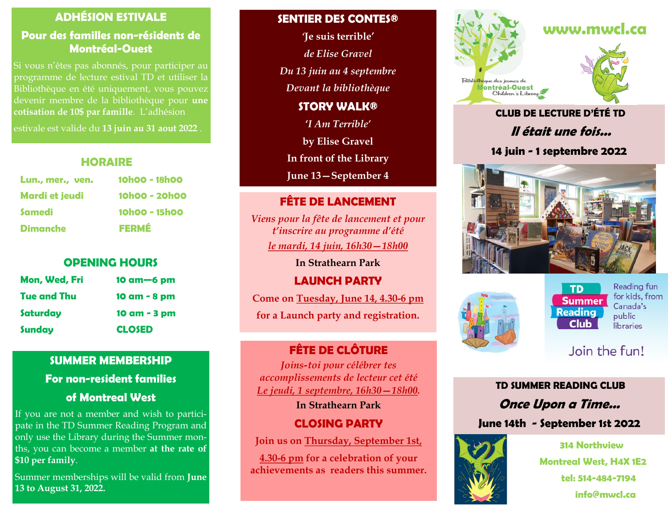### **ADHÉSION ESTIVALE**

### **Pour des familles non-résidents de Montréal-Ouest**

Si vous n'êtes pas abonnés, pour participer au programme de lecture estival TD et utiliser la Bibliothèque en été uniquement, vous pouvez devenir membre de la bibliothèque pour **une cotisation de 10\$ par famille**. L'adhésion

estivale est valide du **13 juin au 31 aout 2022** .

#### **HORAIRE**

| Lun., mer., ven.      | 10h00 - 18h00 |
|-----------------------|---------------|
| <b>Mardi et jeudi</b> | 10h00 - 20h00 |
| Samedi                | 10h00 - 15h00 |
| <b>Dimanche</b>       | <b>FERMÉ</b>  |

### **OPENING HOURS**

| Mon, Wed, Fri | $10$ am $-6$ pm |
|---------------|-----------------|
| Tue and Thu   | 10 am - 8 pm    |
| Saturday      | 10 am - 3 pm    |
| <b>Sunday</b> | <b>CLOSED</b>   |

### **SUMMER MEMBERSHIP**

**For non-resident families**

### **of Montreal West**

If you are not a member and wish to participate in the TD Summer Reading Program and only use the Library during the Summer months, you can become a member **at the rate of \$10 per family**.

Summer memberships will be valid from **June 13 to August 31, 2022.** 

#### **SENTIER DES CONTES®**

*'***Je suis terrible'** 

*de Elise Gravel*

*Du 13 juin au 4 septembre*

*Devant la bibliothèque*

**STORY WALK®**

**'***I Am Terrible'*

**by Elise Gravel**

**In front of the Library**

**June 13—September 4**

### **FÊTE DE LANCEMENT**

*Viens pour la fête de lancement et pour t'inscrire au programme d'été le mardi, 14 juin, 16h30—18h00*

**In Strathearn Park**

**LAUNCH PARTY**

**Come on Tuesday, June 14, 4.30-6 pm**

**for a Launch party and registration.**

## **FÊTE DE CLÔTURE**

*Joins-toi pour célébrer tes accomplissements de lecteur cet été Le jeudi, 1 septembre, 16h30—18h00.*

**In Strathearn Park**

### **CLOSING PARTY**

**Join us on Thursday, September 1st,** 

**4.30-6 pm for a celebration of your achievements as readers this summer.**





# **CLUB DE LECTURE D'ÉTÉ TD Il était une fois...**

### **14 juin - 1 septembre 2022**





#### **TD Summer Reading Club**

Reading fun for kids, from Canada's public libraries

# Join the fun!

**TD SUMMER READING CLUB Once Upon a Time... June 14th - September 1st 2022**



**314 Northview Montreal West, H4X 1E2 tel: 514-484-7194 info@mwcl.ca**